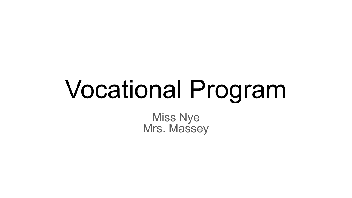# Vocational Program

Miss Nye Mrs. Massey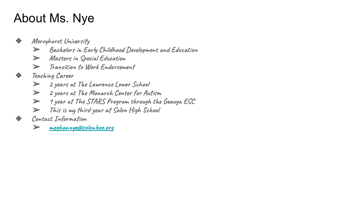## About Ms. Nye

- ❖ **Mercyhurst University** 
	- ➢ **Bachelors in Early Childhood Development and Education**
	- ➢ **Masters in Special Education**
	- ➢ **Transition to Work Endorsement**
- ❖ **Teaching Career** 
	- ➢ **2 years at The Lawrence Lower School**
	- ➢ **2 years at The Monarch Center for Autism**
	- ➢ **1 year at The STARS Program through the Geauga ESC**
	- ➢ **This is my third year at Solon High School**
- ❖ **Contact Information** 
	- ➢ **[meghannye@solonboe.org](mailto:meghannye@solonboe.org)**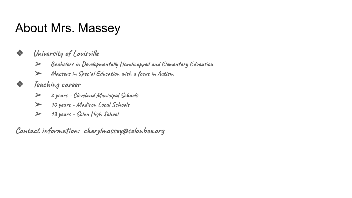## About Mrs. Massey

#### ❖ **University of Louisville**

- ➢ **Bachelors in Developmentally Handicapped and Elementary Education**
- ➢ **Masters in Special Education with a focus in Autism**

#### ❖ **Teaching career**

- ➢ **2 years Cleveland Municipal Schools**
- ➢ **10 years Madison Local Schools**
- ➢ **13 years Solon High School**

**Contact information: cherylmassey@solonboe.org**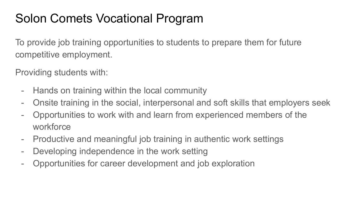# Solon Comets Vocational Program

To provide job training opportunities to students to prepare them for future competitive employment.

Providing students with:

- Hands on training within the local community
- Onsite training in the social, interpersonal and soft skills that employers seek
- Opportunities to work with and learn from experienced members of the workforce
- Productive and meaningful job training in authentic work settings
- Developing independence in the work setting
- Opportunities for career development and job exploration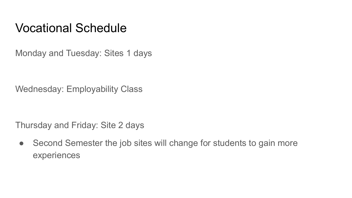#### Vocational Schedule

Monday and Tuesday: Sites 1 days

Wednesday: Employability Class

Thursday and Friday: Site 2 days

• Second Semester the job sites will change for students to gain more experiences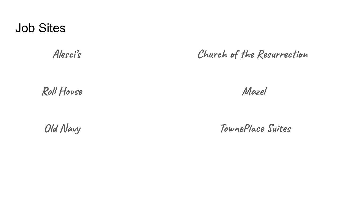#### Job Sites

 **Alesci's Church of the Resurrection** 

Roll House **Mazel** 

 **Old Navy TownePlace Suites**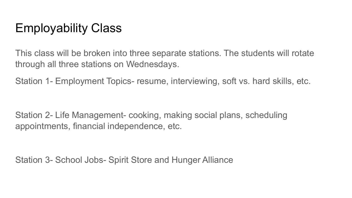## Employability Class

This class will be broken into three separate stations. The students will rotate through all three stations on Wednesdays.

Station 1- Employment Topics- resume, interviewing, soft vs. hard skills, etc.

Station 2- Life Management- cooking, making social plans, scheduling appointments, financial independence, etc.

Station 3- School Jobs- Spirit Store and Hunger Alliance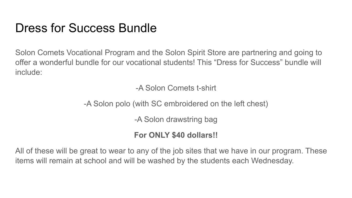### Dress for Success Bundle

Solon Comets Vocational Program and the Solon Spirit Store are partnering and going to offer a wonderful bundle for our vocational students! This "Dress for Success" bundle will include:

-A Solon Comets t-shirt

-A Solon polo (with SC embroidered on the left chest)

-A Solon drawstring bag

#### **For ONLY \$40 dollars!!**

All of these will be great to wear to any of the job sites that we have in our program. These items will remain at school and will be washed by the students each Wednesday.